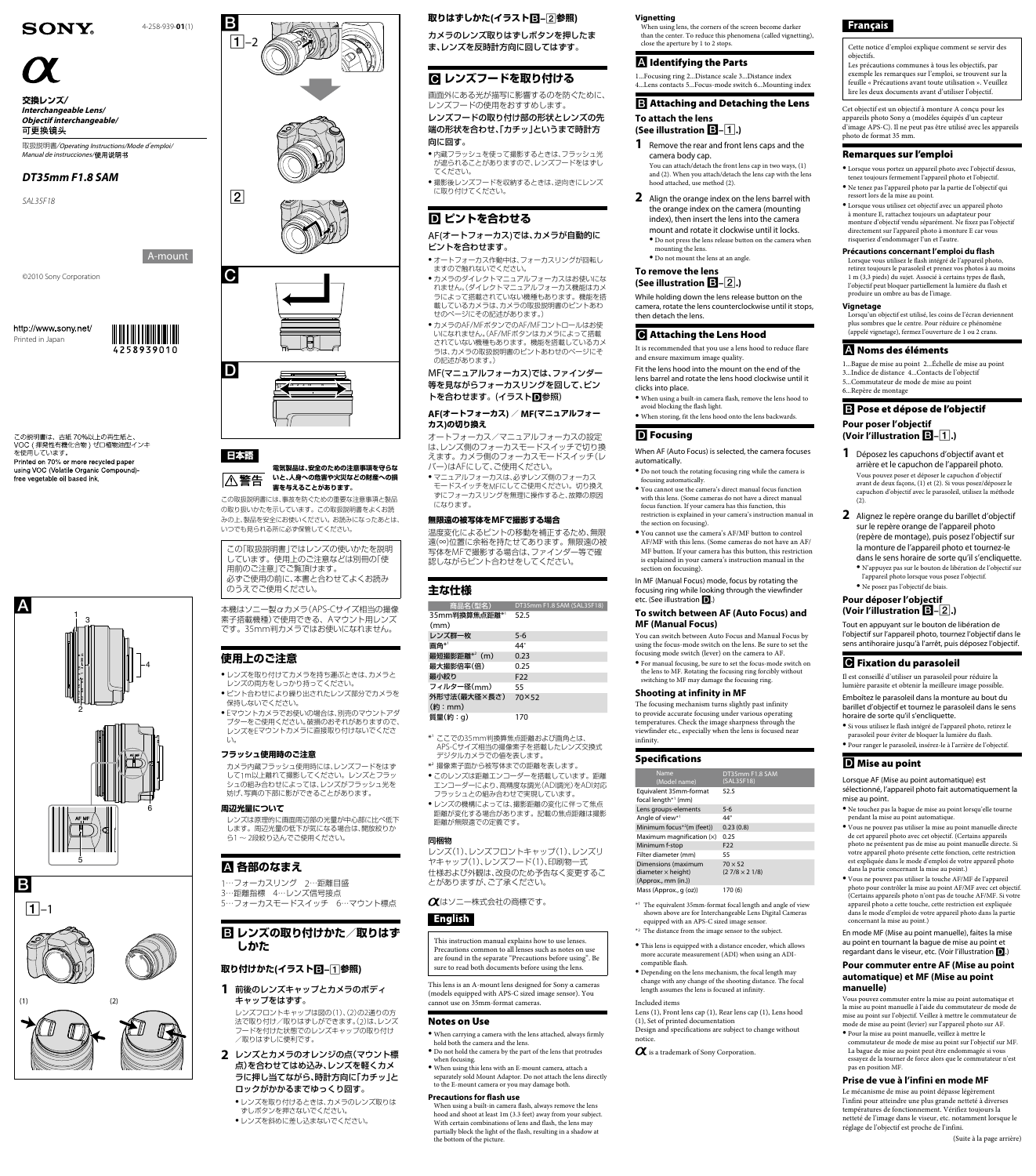



カメラのレンズ取りはずしボタンを押したま ま、レンズを反時計方向に回してはずす。

## **(参照–イラスト(取りはずしかた**

# **レンズフードを取り付ける**

、画面外にある光が描写に影響するのを防ぐために 。レンズフードの使用をおすすめします

●内蔵フラッシュを使って撮影するときは、フラッシュ光 が遮られることがありますので、レンズフードをはずし 。てください

●撮影後レンズフードを収納するときは、逆向きにレンズ 。に取り付けてください

# **D**ピントを合わせる

レンズフードの取り付け部の形状とレンズの先 端の形状を合わせ、「カチッ」というまで時計方 。向に回す

### AF(オートフォーカス)では、カメラが自動的に 。ピントを合わせます

- ●オートフォーカス作動中は、フォーカスリングが回転し 。ますので触れないでください
- ●カメラのダイレクトマニュアルフォーカスはお使いにな ダイレクトマニュアルフォーカス機能はカメ。(れません ラによって搭載されていない機種もあります。機能を搭 あいことは、おメラの取扱説明書のピントあわ せのページにその記述があります。)
- カメラのAF/MFボタンでのAF/MFコントロールはお使 いになれません。(AF/MFボタンはカメラによって搭載 されていない機種もあります。機能を搭載しているカメ ラは、カメラの取扱説明書のピントあわせのページにそ の記述があります。)

MF(マニュアルフォーカス)では、ファインダー 等を見ながらフォーカスリングを回して、ピン トを合わせます。(イラスト回参照)

#### AF(オートフォーカス) / MF(マニュアルフォー **の切り換え)カス**

オートフォーカス/マニュアルフォーカスの設定 レンズ側のフォーカスモードスイッチで切り換、は えます。カメラ側のフォーカスモードスイッチ(レ バー)はAFにして、ご使用ください。

● マニュアルフォーカスは、必ずレンズ側のフォーカス 、ニュッパック。<br>モードスイッチをMFにしてご使用ください。切り換え すにフォーカスリングを無理に操作すると、故障の原因 になります。

\*' ここでの35mm判換算焦点距離および画角とは、 APS-Cサイズ相当の撮像素子を搭載したレンズ交換式 。デジタルカメラでの値を表します

- \*2 撮像素子面から被写体までの距離を表します。 ● このレンズは距離エンコーダーを搭載しています。距離 エンコーダーにより、高精度な調光(ADI調光)をADI対応
- 。フラッシュとの組み合わせで実現しています ●レンズの機構によっては、撮影距離の変化に伴って焦点 距離が変化する場合があります。記載の焦点距離は撮影 距離が無限遠での定義です。

#### **無限遠の被写体をMFで撮影する場合**

温度変化によるピントの移動を補正するため、無限 遠(∞)位置に余裕を持たせてあります。無限遠の被 写体をMFで撮影する場合は、ファインダー等で確 認しながらピント合わせをしてください。

# **主な仕様**

| 商品名(型名)          | DT35mm F1.8 SAM (SAL35F18) |
|------------------|----------------------------|
| 35mm判換算焦点距離*'    | 52.5                       |
| (mm)             |                            |
| レンズ群一枚           | $5 - 6$                    |
| 画角*1             | 44°                        |
| 最短撮影距離 $*^2$ (m) | 0.23                       |
| 最大撮影倍率(倍)        | 0.25                       |
| 最小絞り             | F <sub>22</sub>            |
| フィルター径(mm)       | 55                         |
| 外形寸法(最大径×長さ)     | 70×52                      |
| (約:mm)           |                            |
| 質量(約:g)          | 170                        |

#### 同梱物

レンズ(1)、レンズフロントキャップ(1)、レンズリ ヤキャップ(1)、レンズフード(1)、印刷物一式 仕様および外観は、改良のため予告なく変更するこ とがありますが、ご了承ください。

#### **Vignetting**

When using lens, the corners of the screen become darker than the center. To reduce this phenomena (called vignetting), close the aperture by 1 to 2 stops

### **A** Identifying the Parts

1... Focusing ring 2... Distance scale 3... Distance index 4... Lens contacts 5... Focus-mode switch 6... Mounting index

### $\mathbf{E}$  Attaching and Detaching the Lens

**To attach the lens (See illustration**  $B$ **–** $(1)$ **.)** 

**1** Remove the rear and front lens caps and the camera body cap.

You can attach/detach the front lens cap in two ways,  $(1)$ and (2). When you attach/detach the lens cap with the lens hood attached, use method (2).

- **2** Align the orange index on the lens barrel with the orange index on the camera (mounting index), then insert the lens into the camera mount and rotate it clockwise until it locks.  $\bullet$  Do not press the lens release button on the camera when mounting the lens.
- $\bullet$  Do not mount the lens at an angle.

#### **To remove the lens (See illustration**  $\mathbf{B}$ **-** $\overline{2}$ **.)**

While holding down the lens release button on the camera, rotate the lens counterclockwise until it stops, then detach the lens.

## **G** Attaching the Lens Hood

It is recommended that you use a lens hood to reduce flare and ensure maximum image quality.

Fit the lens hood into the mount on the end of the lens barrel and rotate the lens hood clockwise until it clicks into place.

• When using a built-in camera flash, remove the lens hood to avoid blocking the flash light.

 $\bullet$  When storing, fit the lens hood onto the lens backwards.

## **D** Focusing

When AF (Auto Focus) is selected, the camera focuses automatically.

 $\bullet$  Do not touch the rotating focusing ring while the camera is focusing automatically.

 $\bullet$  You cannot use the camera's direct manual focus function with this lens. (Some cameras do not have a direct manual focus function. If your camera has this function, this restriction is explained in your camera's instruction manual in the section on focusing).

 $\bullet$  You cannot use the camera's AF/MF button to control AF/MF with this lens. (Some cameras do not have an AF/ MF button. If your camera has this button, this restriction is explained in your camera's instruction manual in the section on focusing)

In MF (Manual Focus) mode, focus by rotating the focusing ring while looking through the viewfinder etc. (See illustration  $\blacksquare$ .)

#### **To switch between AF (Auto Focus) and MF (Manual Focus)**

You can switch between Auto Focus and Manual Focus by using the focus-mode switch on the lens. Be sure to set the focusing mode switch (lever) on the camera to AF.

 $\bullet$  For manual focusing, be sure to set the focus-mode switch on the lens to MF. Rotating the focusing ring forcibly without switching to MF may damage the focusing ring.

#### **Shooting at infinity in MF**

The focusing mechanism turns slightly past infinity to provide accurate focusing under various operating temperatures. Check the image sharpness through the viewfinder etc., especially when the lens is focused near .infinity

# **SONY**

 **/交換レンズ Interchangeable Lens/ Objectif interchangeable/** 可更换镜头

取扱説明書/Operating Instructions/Mode d'emploi/ Manual de instrucciones/使用说明书

## DT35mm F1.8 SAM







この取扱説明書には、事故を防ぐための重要な注意事項と製品 の取り扱いかたを示しています。この取扱説明書をよくお読 みの上、製品を安全にお使いください。お読みになったあとは、 。いつでも見られる所に必ず保管してください

この「取扱説明書」ではレンズの使いかたを説明 しています。使用上のご注意などは別冊の「使 用前のご注意」でご覧頂けます。 必ずご使用の前に、本書と合わせてよくお読み のうえでご使用ください。

Cサイズ相当の撮像-APS(本機はソニー製αカメラ 素子搭載機種)で使用できる、Aマウント用レンズ です。35mm判カメラではお使いになれません。

- ●レンズを取り付けてカメラを持ち運ぶときは、カメラと 。レンズの両方をしっかり持ってください
- ピント合わせにより繰り出されたレンズ部分でカメラをˎ 。保持しないでください
- Eマウントカメラでお使いの場合は、別売のマウントアダ プターをご使用ください。破損のおそれがありますので、 レンズをEマウントカメラに直接取り付けないでくださ 。い

レンズは原理的に画面周辺部の光量が中心部に比べ低下 します。周辺光量の低下が気になる場合は、開放絞りか ら1~2段絞り込んでご使用ください。

# **国 レンズの取り付けかた/取りはず しかた**

- 前後のレンズキャップとカメラのボディ **1** 。キャップをはずす
- レンズフロントキャップは図の(1)、(2)の2通りの方 法で取り付け/取りはずしができます。(2)は、レンズ フードを付けた状態でのレンズキャップの取り付け 。取りはずしに便利です/
- 2 レンズとカメラのオレンジの点 (マウント標 点)を合わせてはめ込み、レンズを軽くカメ ラに押し当てながら、時計方向に「カチッ」と ロックがかかるまでゆっくり回す。
	- ●レンズを取り付けるときは、カメラのレンズ取りは 。ずしボタンを押さないでください
	- ●レンズを斜めに差し込まないでください。

#### $\alpha$ はソニー株式会社の商標です。

# English

This instruction manual explains how to use lenses. Precautions common to all lenses such as notes on use are found in the separate "Precautions before using". Be sure to read both documents before using the lens.

This lens is an A-mount lens designed for Sony  $\alpha$  cameras (models equipped with APS-C sized image sensor). You cannot use on 35mm-format cameras.

### **Notes on Use**

- When carrying a camera with the lens attached, always firmly hold both the camera and the lens.
- $\bullet$  Do not hold the camera by the part of the lens that protrudes when focusing.

 $\bullet$  When using this lens with an E-mount camera, attach a separately sold Mount Adaptor. Do not attach the lens directly to the E-mount camera or you may damage both.

#### **Precautions for flash use**

When using a built-in camera flash, always remove the lens hood and shoot at least 1m (3.3 feet) away from your subject. With certain combinations of lens and flash, the lens may partially block the light of the flash, resulting in a shadow at the bottom of the picture.

- $Mass (Approx., q (oz))$  170 (6)
- $^{\ast \mathrm{1}}$  The equivalent 35mm-format focal length and angle of view shown above are for Interchangeable Lens Digital Cameras equipped with an APS-C sized image sensor.
- \*<sup>2</sup> The distance from the image sensor to the subject.
- $\bullet$  This lens is equipped with a distance encoder, which allows more accurate measurement (ADI) when using an ADI-compatible flash.
- $\bullet$  Depending on the lens mechanism, the focal length may change with any change of the shooting distance. The focal length assumes the lens is focused at infinity.

#### Included items

Lens (1), Front lens cap (1), Rear lens cap (1), Lens hood  $(1)$ , Set of printed documentation Design and specifications are subject to change without notice.

 $\alpha$  is a trademark of Sony Corporation.

bler la mise au point AF/MF (Certains appareils photo n'ont pas de touche  $\operatorname{AF/MF.}$  Si votre appareil photo a cette touche, cette restriction est expliquée dans le mode d'emploi de votre appareil photo dans la partie concernant la mise au point.)

En mode MF (Mise au point manuelle), faites la mise au point en tournant la bague de mise au point et regardant dans le viseur, etc. (Voir l'illustration  $\Box$ .)

#### Specifications

| Name<br>(Model name)                                                    | DT35mm F1.8 SAM<br>(SAL35F18)          |
|-------------------------------------------------------------------------|----------------------------------------|
| Equivalent 35mm-format<br>focal length*1 (mm)                           | 52.5                                   |
| Lens groups-elements                                                    | $5 - 6$                                |
| Angle of view*1                                                         | 44°                                    |
| Minimum focus <sup>*2</sup> (m (feet))                                  | 0.23(0.8)                              |
| Maximum magnification $(x)$                                             | 0.25                                   |
| Minimum f-stop                                                          | F <sub>22</sub>                        |
| Filter diameter (mm)                                                    | 55                                     |
| Dimensions (maximum<br>diameter $\times$ height)<br>(Approx., mm (in.)) | $70 \times 52$<br>$(27/8 \times 21/8)$ |



Cette notice d'emploi explique comment se servir des objectifs.

Les précautions communes à tous les objectifs, par  $\frac{1}{2}$  exemple les remarques sur l'emploi, se trouvent sur la feuille « Précautions avant toute utilisation ». Veuillez lire les deux documents avant d'utiliser l'objectif.

Cet objectif est un objectif à monture A conçu pour les appareils photo Sony α (modèles équipés d'un capteur d'image APS-C). Il ne peut pas être utilisé avec les appareils photo de format 35 mm.

## Remarques sur l'emploi

 $\bullet$  Lorsque vous portez un appareil photo avec l'objectif dessus, tenez toujours fermement l'appareil photo et l'objectif. Ne tenez pas l'appareil photo par la partie de l'objectif qui ressort lors de la mise au point.

 $\bullet$  Lorsque vous utilisez cet objectif avec un appareil photo à monture E, rattachez toujours un adaptateur pour monture d'objectif vendu séparément. Ne fixez pas l'objectif directement sur l'appareil photo à monture E car vous risqueriez d'endommager l'un et l'autre.

#### **Précautions concernant l'emploi du flash**

Lorsque vous utilisez le flash intégré de l'appareil photo, retirez toujours le parasoleil et prenez vos photos à au moins 1 m (3,3 pieds) du sujet. Associé à certains types de flash,  $\mathbf l'$ objectif peut bloquer partiellement la lumière du flash et produire un ombre au bas de l'image.

#### **Pour commuter entre AF (Mise au point automatique) et MF (Mise au point (manuelle**

Vous pouvez commuter entre la mise au point automatique et la mise au point manuelle à l'aide du commutateur de mode de mise au point sur l'objectif. Veillez à mettre le commutateur de mode de mise au point (levier) sur l'appareil photo sur AF.

 $\bullet$  Pour la mise au point manuelle, veillez à mettre le commutateur de mode de mise au point sur l'objectif sur MF. La bague de mise au point peut être endommagée si vous essayez de la tourner de force alors que le commutateur n'est pas en position MF.

#### **Prise de vue à l'infini en mode MF**

Le mécanisme de mise au point dépasse légèrement l'infini pour atteindre une plus grande netteté à diverses températures de fonctionnement. Vérifiez toujours la netteté de l'image dans le viseur, etc. notamment lorsque le réglage de l'objectif est proche de l'infini.

(Suite à la page arrière)



(1)4-258-939-**01**



http://www.sony.net/ Printed in Japan

この説明書は、古紙 70%以上の再生紙と VOC(揮発性有機化合物)ゼロ植物油型インキ Printed on 70% or more recycled paper using VOC (Volatile Organic Compound) free vegetable oil based ink.



#### **安全のための注意事項を守らな、電気製品は いと、人身への危害や火災などの財産への損** ∣∆警告 **。害を与えることがあります**

# **使用上のご注意**

### **フラッシュ使用時のご注意**

カメラ内蔵フラッシュ使用時には、レンズフードをはず して1m以上離れて撮影してください。レンズとフラッ シュの組み合わせによっては、レンズがフラッシュ光を 妨げ、写真の下部に影ができることがあります。

#### **周辺光量について**

# **各部のなまえ**

1…フォーカスリング 2…距離目盛

## **(参照–イラスト(取り付けかた**

### **Vignetage**

6...Repère de montage

 $(2).$ 

**Pour poser l'objectif (Voir l'illustration**  $\mathbf{E}$ **-1.)** 

Lorsqu'un objectif est utilisé, les coins de l'écran deviennent plus sombres que le centre. Pour réduire ce phénomène (appelé vignetage), fermez l'ouverture de 1 ou 2 crans.

1...Bague de mise au point 2... Échelle de mise au point 3...Indice de distance 4... Contacts de l'objectif 5...Commutateur de mode de mise au point

B Pose et dépose de l'objectif

**1** Déposez les capuchons d'objectif avant et arrière et le capuchon de l'appareil photo. Vous pouvez poser et déposer le capuchon d'objectif avant de deux façons, (1) et (2). Si vous posez/déposez le capuchon d'objectif avec le parasoleil, utilisez la méthode

2 Alignez le repère orange du barillet d'objectif sur le repère orange de l'appareil photo (repère de montage), puis posez l'objectif sur la monture de l'appareil photo et tournez-le dans le sens horaire de sorte qu'il s'encliquette.  $\bullet$  N'appuyez pas sur le bouton de libération de l'objectif sur l'appareil photo lorsque vous posez l'objectif.

 $\bullet$  Ne posez pas l'objectif de biais. **Pour déposer l'objectif (Voir l'illustration B-2.)** 

**G** Fixation du parasoleil

horaire de sorte qu'il s'encliquette.

**D** Mise au point

mise au point

Tout en appuyant sur le bouton de libération de l'objectif sur l'appareil photo, tournez l'objectif dans le sens antihoraire jusqu'à l'arrêt, puis déposez l'objectif.

Il est conseillé d'utiliser un parasoleil pour réduire la lumière parasite et obtenir la meilleure image possible. Emboîtez le parasoleil dans la monture au bout du barillet d'objectif et tournez le parasoleil dans le sens

 $\bullet$  Si vous utilisez le flash intégré de l'appareil photo, retirez le parasoleil pour éviter de bloquer la lumière du flash · Pour ranger le parasoleil, insérez-le à l'arrière de l'objectif.

 $\bullet$  Ne touchez pas la bague de mise au point lorsqu'elle tourne

 $\bullet$  Vous ne pouvez pas utiliser la mise au point manuelle directe de cet appareil photo avec cet objectif. (Certains appareils photo ne présentent pas de mise au point manuelle directe. Si votre appareil photo présente cette fonction, cette restriction est expliquée dans le mode d'emploi de votre appareil photo

 $\bullet$  Vous ne pouvez pas utiliser la touche AF/MF de l'appareil

Lorsque AF (Mise au point automatique) est sélectionné, l'appareil photo fait automatiquement la

pendant la mise au point automatique.

dans la partie concernant la mise au point.)

# **A** Noms des éléments



# 日本語

 $\boxed{2}$ 

*18F35SAL*

A-mount

4258939010



3…距離指標 4…レンズ信号接点 5…フォーカスモードスイッチ 6…マウント標点